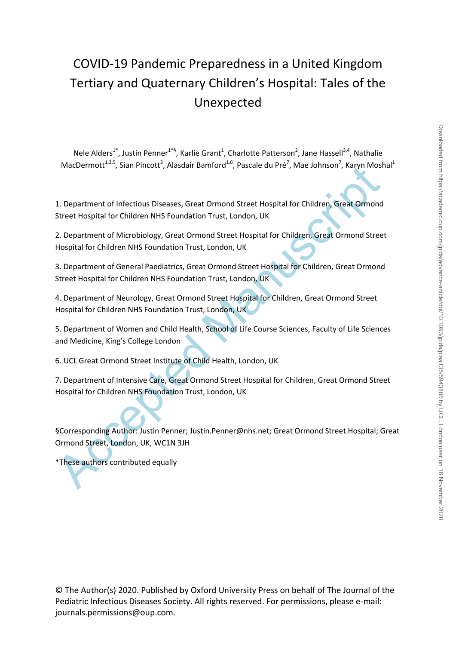# COVID-19 Pandemic Preparedness in a United Kingdom Tertiary and Quaternary Children's Hospital: Tales of the Unexpected

Nele Alders<sup>1\*</sup>, Justin Penner<sup>1\*§</sup>, Karlie Grant<sup>1</sup>, Charlotte Patterson<sup>2</sup>, Jane Hassell<sup>3,4</sup>, Nathalie MacDermott<sup>1,3,5</sup>, Sian Pincott<sup>3</sup>, Alasdair Bamford<sup>1,6</sup>, Pascale du Pré<sup>7</sup>, Mae Johnson<sup>7</sup>, Karyn Moshal<sup>1</sup>

1. Department of Infectious Diseases, Great Ormond Street Hospital for Children, Great Ormond Street Hospital for Children NHS Foundation Trust, London, UK

2. Department of Microbiology, Great Ormond Street Hospital for Children, Great Ormond Street Hospital for Children NHS Foundation Trust, London, UK

3. Department of General Paediatrics, Great Ormond Street Hospital for Children, Great Ormond Street Hospital for Children NHS Foundation Trust, London, UK

4. Department of Neurology, Great Ormond Street Hospital for Children, Great Ormond Street Hospital for Children NHS Foundation Trust, London, UK

5. Department of Women and Child Health, School of Life Course Sciences, Faculty of Life Sciences and Medicine, King's College London

6. UCL Great Ormond Street Institute of Child Health, London, UK

7. Department of Intensive Care, Great Ormond Street Hospital for Children, Great Ormond Street Hospital for Children NHS Foundation Trust, London, UK

MacDermott"", Sian Pincott , Ausadalr Bamford", Pascale du Pre , Male Jonnson , Karyn Most<br>1. Department of Infectious Diseases, Great Ormond Street Hospital for Children, Great Ormond<br>Street Hospital for Children NHS Foun §Corresponding Author: Justin Penner; Justin.Penner@nhs.net; Great Ormond Street Hospital; Great Ormond Street, London, UK, WC1N 3JH

\*These authors contributed equally

© The Author(s) 2020. Published by Oxford University Press on behalf of The Journal of the Pediatric Infectious Diseases Society. All rights reserved. For permissions, please e-mail: journals.permissions@oup.com.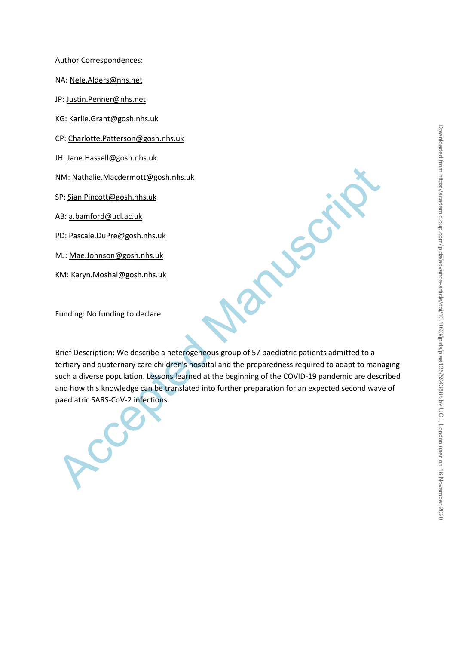Author Correspondences:

NA: [Nele.Alders@nhs.n](mailto:Nele.Alders@gosh.nhs.uk)et

JP[: Justin.Penner@nhs.net](mailto:Justin.Penner@nhs.net)

KG: [Karlie.Grant@gosh.nhs.uk](mailto:Karlie.Grant@gosh.nhs.uk)

CP: [Charlotte.Patterson@gosh.nhs.uk](mailto:Charlotte.Patterson@gosh.nhs.uk)

JH: Jane.Hassell@gosh.nhs.uk

NM: Nathalie.Macdermott@gosh.nhs.uk

SP: Sian.Pincott@gosh.nhs.uk

AB: a.bamford@ucl.ac.uk

PD: Pascale.DuPre@gosh.nhs.uk

MJ: Mae.Johnson@gosh.nhs.uk

KM: Karyn.Moshal@gosh.nhs.uk

Funding: No funding to declare

NM: Nathalie.Macdermott@gosh.nhs.uk<br>SP: <u>Sian.Pincott@gosh.nhs.uk</u><br>AB: <u>a.bamford@ucl.ac.uk</u><br>PD: <u>Pascale.DuPre@gosh.nhs.uk</u><br>KM: <u>Karyn.Moshal@gosh.nhs.uk</u><br>KM: <u>Karyn.Moshal@gosh.nhs.uk</u><br>Rinef Description: We describe a he Brief Description: We describe a heterogeneous group of 57 paediatric patients admitted to a tertiary and quaternary care children's hospital and the preparedness required to adapt to managing such a diverse population. Lessons learned at the beginning of the COVID-19 pandemic are described and how this knowledge can be translated into further preparation for an expected second wave of paediatric SARS-CoV-2 infections.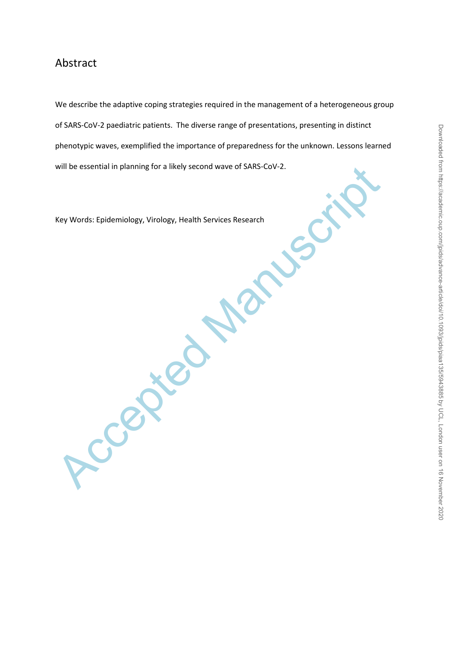# Abstract

We describe the adaptive coping strategies required in the management of a heterogeneous group of SARS-CoV-2 paediatric patients. The diverse range of presentations, presenting in distinct phenotypic waves, exemplified the importance of preparedness for the unknown. Lessons learned will be essential in planning for a likely second wave of SARS-CoV-2.

Key Words: Epidemiology, Virology, Health Services Research

Accepted Manuscript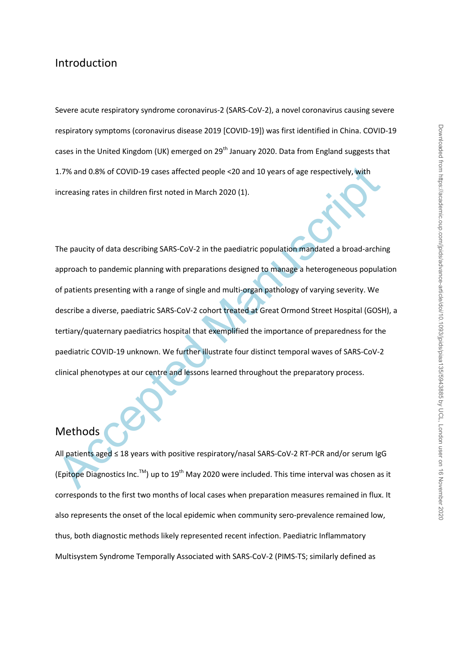### Introduction

Severe acute respiratory syndrome coronavirus-2 (SARS-CoV-2), a novel coronavirus causing severe respiratory symptoms (coronavirus disease 2019 [COVID-19]) was first identified in China. COVID-19 cases in the United Kingdom (UK) emerged on 29<sup>th</sup> January 2020. Data from England suggests that 1.7% and 0.8% of COVID-19 cases affected people <20 and 10 years of age respectively, with increasing rates in children first noted in March 2020 (1).

1.7% and 0.8% of COVID-19 cases affected people <20 and 10 years of age respectively, with<br>Increasing rates in children first noted in March 2020 (1).<br>The paucity of data describing SARS-CoV-2 in the paediatric population The paucity of data describing SARS-CoV-2 in the paediatric population mandated a broad-arching approach to pandemic planning with preparations designed to manage a heterogeneous population of patients presenting with a range of single and multi-organ pathology of varying severity. We describe a diverse, paediatric SARS-CoV-2 cohort treated at Great Ormond Street Hospital (GOSH), a tertiary/quaternary paediatrics hospital that exemplified the importance of preparedness for the paediatric COVID-19 unknown. We further illustrate four distinct temporal waves of SARS-CoV-2 clinical phenotypes at our centre and lessons learned throughout the preparatory process.

## Methods

All patients aged ≤ 18 years with positive respiratory/nasal SARS-CoV-2 RT-PCR and/or serum IgG (Epitope Diagnostics Inc.<sup>TM</sup>) up to 19<sup>th</sup> May 2020 were included. This time interval was chosen as it corresponds to the first two months of local cases when preparation measures remained in flux. It also represents the onset of the local epidemic when community sero-prevalence remained low, thus, both diagnostic methods likely represented recent infection. Paediatric Inflammatory Multisystem Syndrome Temporally Associated with SARS-CoV-2 (PIMS-TS; similarly defined as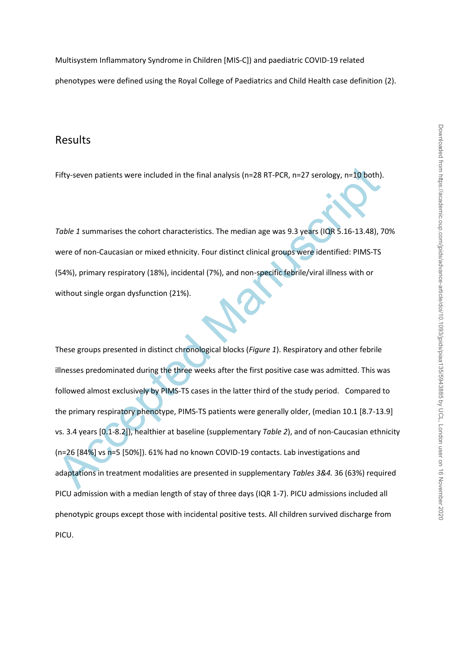Multisystem Inflammatory Syndrome in Children [MIS-C]) and paediatric COVID-19 related phenotypes were defined using the Royal College of Paediatrics and Child Health case definition (2).

#### Results

Fifty-seven patients were included in the final analysis (n=28 RT-PCR, n=27 serology, n=10 both).

*Table 1* summarises the cohort characteristics. The median age was 9.3 years (IQR 5.16-13.48), 70% were of non-Caucasian or mixed ethnicity. Four distinct clinical groups were identified: PIMS-TS (54%), primary respiratory (18%), incidental (7%), and non-specific febrile/viral illness with or without single organ dysfunction (21%).

Fifty-seven patients were included in the final analysis (n=28 RT-PCR, n=27 serology, n=10 both).<br>
Table 1 summarises the cohort characteristics. The median age was 9.3 years (IQR 5.16-13.48), 7<br>
were of non-Caucasian or These groups presented in distinct chronological blocks (*Figure 1*). Respiratory and other febrile illnesses predominated during the three weeks after the first positive case was admitted. This was followed almost exclusively by PIMS-TS cases in the latter third of the study period. Compared to the primary respiratory phenotype, PIMS-TS patients were generally older, (median 10.1 [8.7-13.9] vs. 3.4 years [0.1-8.2]), healthier at baseline (supplementary *Table 2*), and of non-Caucasian ethnicity (n=26 [84%] vs n=5 [50%]). 61% had no known COVID-19 contacts. Lab investigations and adaptations in treatment modalities are presented in supplementary *Tables 3&4.* 36 (63%) required PICU admission with a median length of stay of three days (IQR 1-7). PICU admissions included all phenotypic groups except those with incidental positive tests. All children survived discharge from PICU.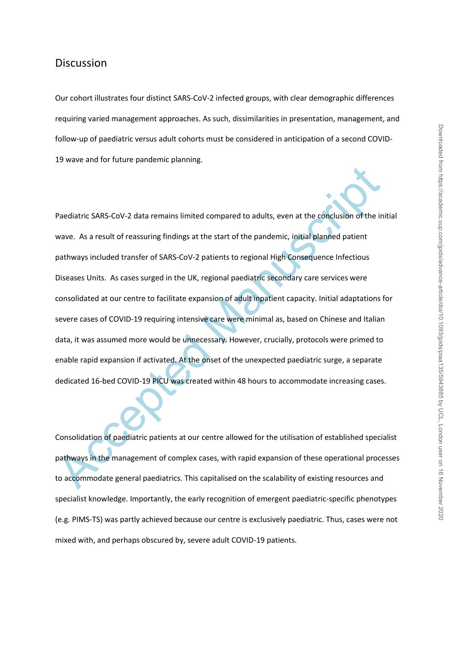#### **Discussion**

Our cohort illustrates four distinct SARS-CoV-2 infected groups, with clear demographic differences requiring varied management approaches. As such, dissimilarities in presentation, management, and follow-up of paediatric versus adult cohorts must be considered in anticipation of a second COVID-19 wave and for future pandemic planning.

Paediatric SARS-CoV-2 data remains limited compared to adults, even at the conclusion of the in wave. As a result of reassuring findings at the start of the pandemic, initial planned patient<br>pathways included transfer of S Paediatric SARS-CoV-2 data remains limited compared to adults, even at the conclusion of the initial wave. As a result of reassuring findings at the start of the pandemic, initial planned patient pathways included transfer of SARS-CoV-2 patients to regional High Consequence Infectious Diseases Units. As cases surged in the UK, regional paediatric secondary care services were consolidated at our centre to facilitate expansion of adult inpatient capacity. Initial adaptations for severe cases of COVID-19 requiring intensive care were minimal as, based on Chinese and Italian data, it was assumed more would be unnecessary. However, crucially, protocols were primed to enable rapid expansion if activated. At the onset of the unexpected paediatric surge, a separate dedicated 16-bed COVID-19 PICU was created within 48 hours to accommodate increasing cases.

Consolidation of paediatric patients at our centre allowed for the utilisation of established specialist pathways in the management of complex cases, with rapid expansion of these operational processes to accommodate general paediatrics. This capitalised on the scalability of existing resources and specialist knowledge. Importantly, the early recognition of emergent paediatric-specific phenotypes (e.g. PIMS-TS) was partly achieved because our centre is exclusively paediatric. Thus, cases were not mixed with, and perhaps obscured by, severe adult COVID-19 patients.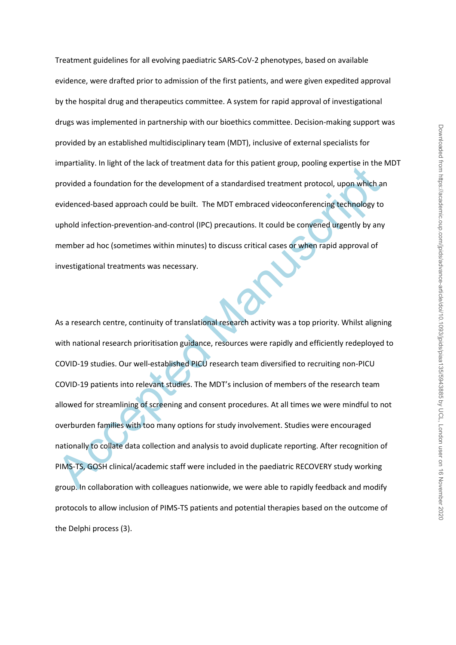Treatment guidelines for all evolving paediatric SARS-CoV-2 phenotypes, based on available evidence, were drafted prior to admission of the first patients, and were given expedited approval by the hospital drug and therapeutics committee. A system for rapid approval of investigational drugs was implemented in partnership with our bioethics committee. Decision-making support was provided by an established multidisciplinary team (MDT), inclusive of external specialists for impartiality. In light of the lack of treatment data for this patient group, pooling expertise in the MDT provided a foundation for the development of a standardised treatment protocol, upon which an evidenced-based approach could be built. The MDT embraced videoconferencing technology to uphold infection-prevention-and-control (IPC) precautions. It could be convened urgently by any member ad hoc (sometimes within minutes) to discuss critical cases or when rapid approval of investigational treatments was necessary.

mpariamy. Imagin of the lack of teaching data for this patient goop, pooling experises in the<br>provided a foundation for the development of a standardised treatment protocol, upon which a<br>evidenced-based approach could be b As a research centre, continuity of translational research activity was a top priority. Whilst aligning with national research prioritisation guidance, resources were rapidly and efficiently redeployed to COVID-19 studies. Our well-established PICU research team diversified to recruiting non-PICU COVID-19 patients into relevant studies. The MDT's inclusion of members of the research team allowed for streamlining of screening and consent procedures. At all times we were mindful to not overburden families with too many options for study involvement. Studies were encouraged nationally to collate data collection and analysis to avoid duplicate reporting. After recognition of PIMS-TS, GOSH clinical/academic staff were included in the paediatric RECOVERY study working group. In collaboration with colleagues nationwide, we were able to rapidly feedback and modify protocols to allow inclusion of PIMS-TS patients and potential therapies based on the outcome of the Delphi process (3).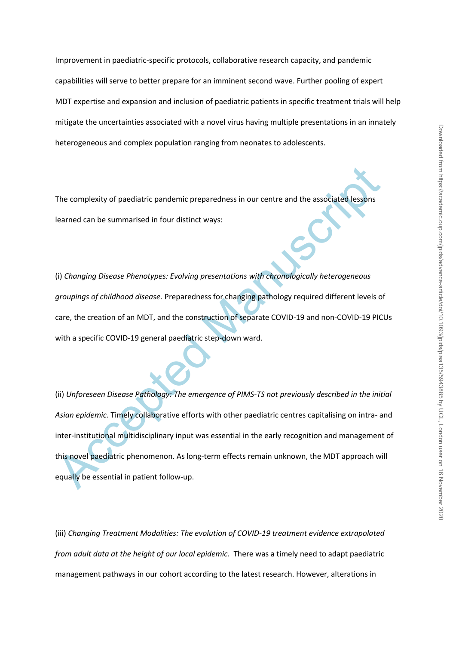Improvement in paediatric-specific protocols, collaborative research capacity, and pandemic capabilities will serve to better prepare for an imminent second wave. Further pooling of expert MDT expertise and expansion and inclusion of paediatric patients in specific treatment trials will help mitigate the uncertainties associated with a novel virus having multiple presentations in an innately heterogeneous and complex population ranging from neonates to adolescents.

The complexity of paediatric pandemic preparedness in our centre and the associated lessons learned can be summarised in four distinct ways:

(i) *Changing Disease Phenotypes: Evolving presentations with chronologically heterogeneous groupings of childhood disease.* Preparedness for changing pathology required different levels of care, the creation of an MDT, and the construction of separate COVID-19 and non-COVID-19 PICUs with a specific COVID-19 general paediatric step-down ward.

The complexity of paediatric pandemic preparedness in our centre and the associated lessons<br>teamed can be summarised in four distinct ways:<br>(i) Changing Disease Phenotypes: Evolving presentations with chronologically heter (ii) *Unforeseen Disease Pathology: The emergence of PIMS-TS not previously described in the initial Asian epidemic.* Timely collaborative efforts with other paediatric centres capitalising on intra- and inter-institutional multidisciplinary input was essential in the early recognition and management of this novel paediatric phenomenon. As long-term effects remain unknown, the MDT approach will equally be essential in patient follow-up.

(iii) *Changing Treatment Modalities: The evolution of COVID-19 treatment evidence extrapolated from adult data at the height of our local epidemic.* There was a timely need to adapt paediatric management pathways in our cohort according to the latest research. However, alterations in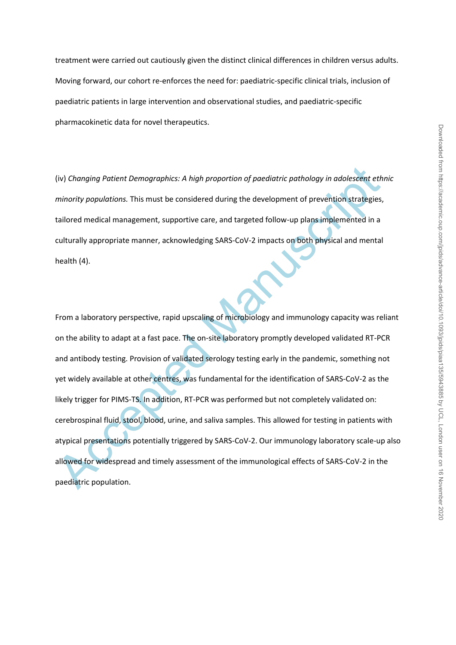treatment were carried out cautiously given the distinct clinical differences in children versus adults. Moving forward, our cohort re-enforces the need for: paediatric-specific clinical trials, inclusion of paediatric patients in large intervention and observational studies, and paediatric-specific pharmacokinetic data for novel therapeutics.

(iv) *Changing Patient Demographics: A high proportion of paediatric pathology in adolescent ethnic minority populations.* This must be considered during the development of prevention strategies, tailored medical management, supportive care, and targeted follow-up plans implemented in a culturally appropriate manner, acknowledging SARS-CoV-2 impacts on both physical and mental health (4).

(iv) Changing Patlent Demographics: A high proportion of paediatric pathology in adolescent eth<br>minority populations. This must be considered during the development of prevention strategies,<br>tailored medical management, su From a laboratory perspective, rapid upscaling of microbiology and immunology capacity was reliant on the ability to adapt at a fast pace. The on-site laboratory promptly developed validated RT-PCR and antibody testing. Provision of validated serology testing early in the pandemic, something not yet widely available at other centres, was fundamental for the identification of SARS-CoV-2 as the likely trigger for PIMS-TS. In addition, RT-PCR was performed but not completely validated on: cerebrospinal fluid, stool, blood, urine, and saliva samples. This allowed for testing in patients with atypical presentations potentially triggered by SARS-CoV-2. Our immunology laboratory scale-up also allowed for widespread and timely assessment of the immunological effects of SARS-CoV-2 in the paediatric population.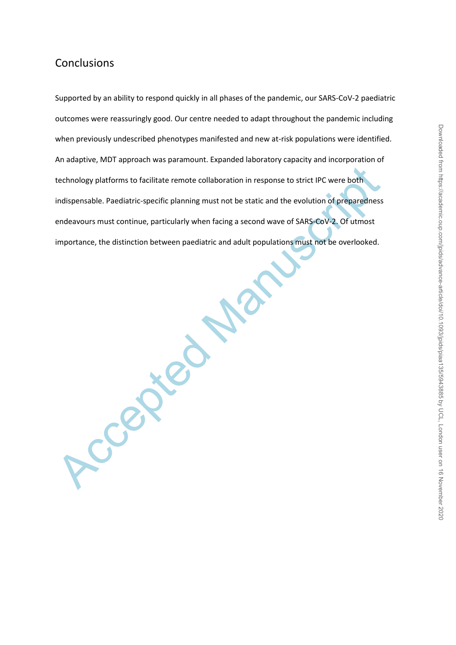# **Conclusions**

technology platforms to facilitate remote collaboration in response to strict IPC were both<br>Indispensable. Paediatric-specific planning must not be static and the evolution of preparedness<br>endeavours must continue, particu Supported by an ability to respond quickly in all phases of the pandemic, our SARS-CoV-2 paediatric outcomes were reassuringly good. Our centre needed to adapt throughout the pandemic including when previously undescribed phenotypes manifested and new at-risk populations were identified. An adaptive, MDT approach was paramount. Expanded laboratory capacity and incorporation of technology platforms to facilitate remote collaboration in response to strict IPC were both indispensable. Paediatric-specific planning must not be static and the evolution of preparedness endeavours must continue, particularly when facing a second wave of SARS-CoV-2. Of utmost importance, the distinction between paediatric and adult populations must not be overlooked.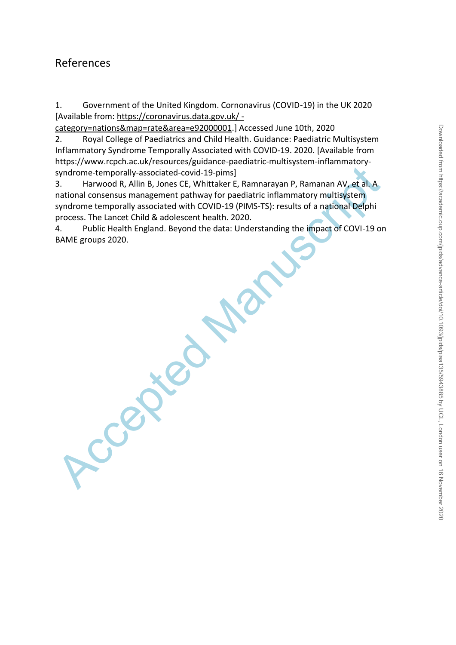# References

1. Government of the United Kingdom. Cornonavirus (COVID-19) in the UK 2020 [Available from: [https://coronavirus.data.gov.uk/ -](https://coronavirus.data.gov.uk/#category=nations&map=rate&area=e92000001)

[category=nations&map=rate&area=e92000001.](https://coronavirus.data.gov.uk/#category=nations&map=rate&area=e92000001)] Accessed June 10th, 2020

2. Royal College of Paediatrics and Child Health. Guidance: Paediatric Multisystem Inflammatory Syndrome Temporally Associated with COVID-19. 2020. [Available from https://www.rcpch.ac.uk/resources/guidance-paediatric-multisystem-inflammatorysyndrome-temporally-associated-covid-19-pims]

3. Harwood R, Allin B, Jor<br>national consensus manageme<br>syndrome temporally associate<br>process. The Lancet Child & ad<br>4. Public Health England. I<br>BAME groups 2020. 3. Harwood R, Allin B, Jones CE, Whittaker E, Ramnarayan P, Ramanan AV, et al. A national consensus management pathway for paediatric inflammatory multisystem syndrome temporally associated with COVID-19 (PIMS-TS): results of a national Delphi process. The Lancet Child & adolescent health. 2020.

Public Health England. Beyond the data: Understanding the impact of COVI-19 on BAME groups 2020.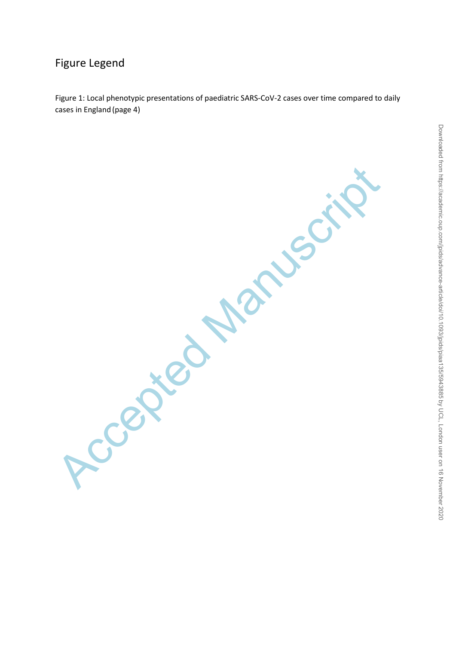# Figure Legend

Figure 1: Local phenotypic presentations of paediatric SARS-CoV-2 cases over time compared to daily cases in England (page 4)

Accepted Manuscript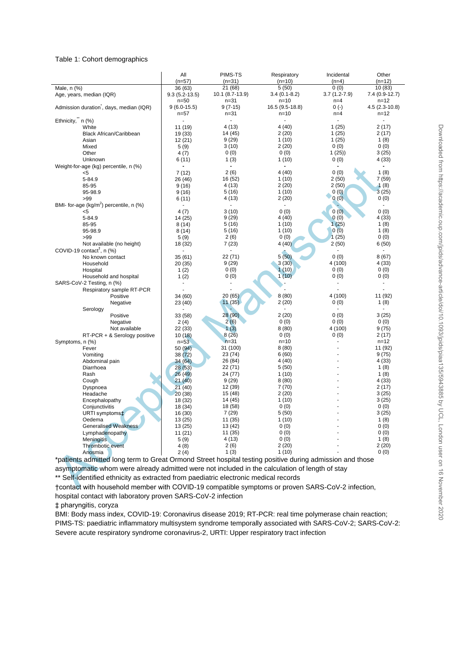#### Table 1: Cohort demographics

|                                                                                                          | All                | PIMS-TS           | Respiratory                       | Incidental             | Other                   |
|----------------------------------------------------------------------------------------------------------|--------------------|-------------------|-----------------------------------|------------------------|-------------------------|
|                                                                                                          | $(n=57)$           | $(n=31)$          | $(n=10)$                          | $(n=4)$                | $(n=12)$                |
| Male, n (%)                                                                                              | 36 (63)            | 21 (68)           | 5(50)                             | 0(0)                   | 10(83)                  |
| Age, years, median (IQR)                                                                                 | $9.3(5.2-13.5)$    | 10.1 (8.7-13.9)   | $3.4(0.1-8.2)$                    | $3.7(1.2 - 7.9)$       | $7.4(0.9-12.7)$         |
|                                                                                                          | $n = 50$           | $n = 31$          | $n = 10$                          | $n=4$                  | $n = 12$                |
| Admission duration, days, median (IQR)                                                                   | $9(6.0-15.5)$      | $9(7-15)$         | 16.5 (9.5-18.8)                   | $0(-)$                 | $4.5(2.3-10.8)$         |
|                                                                                                          | $n = 57$           | $n = 31$          | $n = 10$                          | $n=4$                  | $n = 12$                |
| Ethnicity," n (%)                                                                                        |                    |                   | $\blacksquare$                    |                        | $\blacksquare$          |
| White                                                                                                    | 11 (19)            | 4 (13)            | 4 (40)                            | 1(25)                  | 2(17)                   |
| <b>Black African/Caribbean</b>                                                                           | 19 (33)            | 14 (45)           | 2(20)                             | 1(25)                  | 2(17)                   |
| Asian                                                                                                    | 12(21)             | 9(29)             | 1(10)                             | 1(25)                  | 1(8)                    |
| Mixed                                                                                                    | 5(9)               | 3(10)             | 2(20)                             | 0(0)                   | 0(0)                    |
| Other                                                                                                    | 4(7)               | 0(0)              | 0(0)                              | 1(25)                  | 3(25)                   |
| Unknown                                                                                                  | 6(11)              | 1(3)              | 1(10)<br>$\overline{\phantom{a}}$ | 0(0)<br>$\blacksquare$ | 4(33)<br>$\blacksquare$ |
| Weight-for-age (kg) percentile, n (%)                                                                    |                    |                   |                                   |                        |                         |
| <5                                                                                                       | 7(12)              | 2(6)              | 4 (40)                            | 0(0)                   | 1(8)                    |
| 5-84.9<br>85-95                                                                                          | 26 (46)            | 16 (52)<br>4 (13) | 1(10)<br>2(20)                    | 2(50)<br>2(50)         | 7(59)<br>1(8)           |
| 95-98.9                                                                                                  | 9(16)<br>9(16)     | 5(16)             | 1(10)                             | 0(0)                   | 3(25)                   |
| >99                                                                                                      | 6(11)              | 4 (13)            | 2(20)                             | 0(0)                   | 0(0)                    |
| BMI- for-age ( $kg/m2$ ) percentile, n (%)                                                               |                    |                   |                                   |                        |                         |
| <5                                                                                                       | 4(7)               | 3(10)             | 0(0)                              | 0(0)                   | 0(0)                    |
| 5-84.9                                                                                                   | 14 (25)            | 9(29)             | 4 (40)                            | 0(0)                   | 4 (33)                  |
| 85-95                                                                                                    | 8(14)              | 5(16)             | 1(10)                             | 1(25)                  | 1(8)                    |
| 95-98.9                                                                                                  | 8(14)              | 5 (16)            | 1(10)                             | 0(0)                   | 1(8)                    |
| >99                                                                                                      | 5(9)               | 2(6)              | 0(0)                              | 1(25)                  | 0(0)                    |
| Not available (no height)                                                                                | 18 (32)            | 7(23)             | 4 (40)                            | 2(50)                  | 6(50)                   |
| COVID-19 contact <sup>†</sup> , $n$ (%)                                                                  |                    |                   |                                   |                        |                         |
| No known contact                                                                                         | 35(61)             | 22 (71)           | 5(50)                             | 0(0)                   | 8(67)                   |
| Household                                                                                                | 20(35)             | 9(29)             | 3(30)                             | 4 (100)                | 4(33)                   |
| Hospital                                                                                                 | 1(2)               | 0(0)              | 1(10)                             | 0(0)                   | 0(0)                    |
| Household and hospital                                                                                   | 1(2)               | 0(0)              | 1(10)                             | 0(0)                   | 0(0)                    |
| SARS-CoV-2 Testing, n (%)                                                                                |                    |                   |                                   |                        |                         |
| Respiratory sample RT-PCR                                                                                |                    |                   |                                   |                        |                         |
| Positive                                                                                                 | 34 (60)            | 20 (65)           | 8(80)                             | 4 (100)                | 11 (92)                 |
| Negative                                                                                                 | 23 (40)            | 11(35)            | 2(20)                             | 0(0)                   | 1(8)                    |
| Serology                                                                                                 |                    |                   |                                   |                        |                         |
| Positive                                                                                                 | 33 (58)            | 28(90)            | 2(20)                             | 0(0)                   | 3(25)                   |
| Negative                                                                                                 | 2(4)               | 2(6)              | 0(0)                              | 0(0)                   | 0(0)                    |
| Not available                                                                                            | 22 (33)            | 1(3)              | 8(80)                             | 4 (100)                | 9(75)                   |
| RT-PCR + & Serology positive                                                                             | 10(18)             | 8(26)             | 0(0)                              | 0(0)                   | 2(17)                   |
| Symptoms, n (%)                                                                                          | $n=53$             | $n=31$            | $n = 10$                          |                        | $n = 12$                |
| Fever                                                                                                    | 50(94)             | 31 (100)          | 8(80)                             |                        | 11 (92)                 |
| Vomiting                                                                                                 | 38(72)             | 23 (74)           | 6(60)                             |                        | 9(75)                   |
| Abdominal pain                                                                                           | 34(64)             | 26 (84)           | 4 (40)                            |                        | 4(33)                   |
| Diarrhoea                                                                                                | 28 (53)            | 22 (71)           | 5(50)                             |                        | 1(8)                    |
| Rash                                                                                                     | 26(49)             | 24 (77)           | 1(10)                             |                        | 1(8)                    |
| Cough                                                                                                    | 21(40)             | 9(29)             | 8(80)                             |                        | 4(33)                   |
| Dyspnoea                                                                                                 | 21(40)             | 12 (39)           | 7(70)                             |                        | 2(17)                   |
| Headache                                                                                                 | 20(38)             | 15 (48)           | 2(20)                             |                        | 3(25)                   |
| Encephalopathy                                                                                           | 18 (32)            | 14 (45)           | 1(10)<br>0(0)                     |                        | 3(25)                   |
| Conjunctivitis                                                                                           | 18 (34)            | 18 (58)<br>7(29)  | 5(50)                             |                        | 0(0)<br>3(25)           |
| URTI symptoms <sup>+</sup><br>Oedema                                                                     | 16 (30)            | 11 (35)           | 1(10)                             |                        | 1 $(8)$                 |
| <b>Generalised Weakness</b>                                                                              | 13 (25)<br>13 (25) | 13 (42)           | 0(0)                              |                        | 0(0)                    |
|                                                                                                          |                    | 11 (35)           | 0(0)                              |                        | 0(0)                    |
| Lymphadenopathy                                                                                          | 11 (21)<br>5(9)    | 4 (13)            | 0(0)                              |                        | 1(8)                    |
| <b>Meningitis</b><br>Thrombotic event                                                                    | 4(8)               | 2(6)              | 2 (20)                            |                        | 2(20)                   |
| Anosmia                                                                                                  | 2(4)               | 1(3)              | 1(10)                             |                        | 0(0)                    |
|                                                                                                          |                    |                   |                                   |                        |                         |
| *patients admitted long term to Great Ormond Street hospital testing positive during admission and those |                    |                   |                                   |                        |                         |
| asymptomatic whom were already admitted were not included in the calculation of length of stay           |                    |                   |                                   |                        |                         |
| ** Self-identified ethnicity as extracted from paediatric electronic medical records                     |                    |                   |                                   |                        |                         |
| †contact with household member with COVID-19 compatible symptoms or proven SARS-CoV-2 infection,         |                    |                   |                                   |                        |                         |

†contact with household member with COVID-19 compatible symptoms or proven SARS-CoV-2 infection, hospital contact with laboratory proven SARS-CoV-2 infection

‡ pharyngitis, coryza

BMI: Body mass index, COVID-19: Coronavirus disease 2019; RT-PCR: real time polymerase chain reaction; PIMS-TS: paediatric inflammatory multisystem syndrome temporally associated with SARS-CoV-2; SARS-CoV-2: Severe acute respiratory syndrome coronavirus-2, URTI: Upper respiratory tract infection